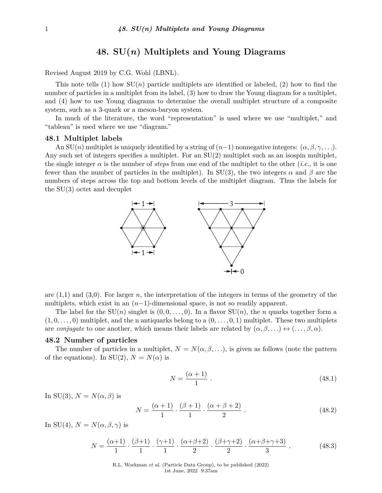# **48. SU(***n***) Multiplets and Young Diagrams**

Revised August 2019 by C.G. Wohl (LBNL).

This note tells (1) how  $SU(n)$  particle multiplets are identified or labeled, (2) how to find the number of particles in a multiplet from its label, (3) how to draw the Young diagram for a multiplet, and (4) how to use Young diagrams to determine the overall multiplet structure of a composite system, such as a 3-quark or a meson-baryon system.

In much of the literature, the word "representation" is used where we use "multiplet," and "tableau" is used where we use "diagram."

#### **48.1 Multiplet labels**

An SU(*n*) multiplet is uniquely identified by a string of  $(n-1)$  nonnegative integers:  $(\alpha, \beta, \gamma, \ldots)$ . Any such set of integers specifies a multiplet. For an  $SU(2)$  multiplet such as an isospin multiplet, the single integer  $\alpha$  is the number of *steps* from one end of the multiplet to the other (*i.e.*, it is one fewer than the number of particles in the multiplet). In SU(3), the two integers  $\alpha$  and  $\beta$  are the numbers of steps across the top and bottom levels of the multiplet diagram. Thus the labels for the SU(3) octet and decuplet



are  $(1,1)$  and  $(3,0)$ . For larger *n*, the interpretation of the integers in terms of the geometry of the multiplets, which exist in an  $(n-1)$ -dimensional space, is not so readily apparent.

The label for the  $SU(n)$  singlet is  $(0,0,\ldots,0)$ . In a flavor  $SU(n)$ , the *n* quarks together form a  $(1,0,\ldots,0)$  multiplet, and the n antiquarks belong to a  $(0,\ldots,0,1)$  multiplet. These two multiplets are *conjugate* to one another, which means their labels are related by  $(\alpha, \beta, \ldots) \leftrightarrow (\ldots, \beta, \alpha)$ .

#### **48.2 Number of particles**

The number of particles in a multiplet,  $N = N(\alpha, \beta, \ldots)$ , is given as follows (note the pattern of the equations). In SU(2),  $N = N(\alpha)$  is

$$
N = \frac{(\alpha + 1)}{1} \tag{48.1}
$$

In SU(3),  $N = N(\alpha, \beta)$  is

$$
N = \frac{(\alpha + 1)}{1} \cdot \frac{(\beta + 1)}{1} \cdot \frac{(\alpha + \beta + 2)}{2} \,. \tag{48.2}
$$

In SU(4),  $N = N(\alpha, \beta, \gamma)$  is

$$
N = \frac{(\alpha+1)}{1} \cdot \frac{(\beta+1)}{1} \cdot \frac{(\gamma+1)}{1} \cdot \frac{(\alpha+\beta+2)}{2} \cdot \frac{(\beta+\gamma+2)}{2} \cdot \frac{(\alpha+\beta+\gamma+3)}{3} . \tag{48.3}
$$

R.L. Workman *et al.* (Particle Data Group), to be published (2022) 1st June, 2022 9:37am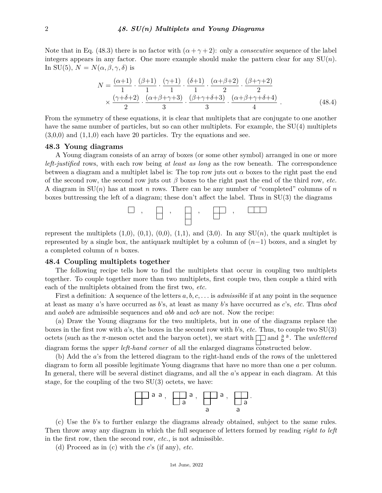Note that in Eq. (48.3) there is no factor with  $(\alpha + \gamma + 2)$ : only a *consecutive* sequence of the label integers appears in any factor. One more example should make the pattern clear for any  $SU(n)$ . In SU(5),  $N = N(\alpha, \beta, \gamma, \delta)$  is  $\frac{1}{\sqrt{2}}$  how to find the number of particles in a multiplet from its influence from its influence from its influence from its influence from its influence from its influence from its influence from its influence from  $\mathcal{A}$  young diagram consists of an array of boxes (or some other boxes (or some other boxes (or some other boxes (or some other boxes (or some other boxes (or some other boxes (or some other boxes (or some other boxes symbol) arranged in one or more left-justified rows, with each row

$$
N = \frac{(\alpha+1)}{1} \cdot \frac{(\beta+1)}{1} \cdot \frac{(\gamma+1)}{1} \cdot \frac{(\delta+1)}{1} \cdot \frac{(\alpha+\beta+2)}{2} \cdot \frac{(\beta+\gamma+2)}{2}
$$

$$
\times \frac{(\gamma+\delta+2)}{2} \cdot \frac{(\alpha+\beta+\gamma+3)}{3} \cdot \frac{(\beta+\gamma+\delta+3)}{3} \cdot \frac{(\alpha+\beta+\gamma+\delta+4)}{4} \tag{48.4}
$$

From the symmetry of these equations, it is clear that multiplets that are conjugate to one another have the same number of particles, but so can other multiplets. For example, the  $SU(4)$  multiplets  $(3,0,0)$  and  $(1,1,0)$  each have 20 particles. Try the equations and see. columns, it is clear that inuitipiets that are conjugate to one another equations, it is clear that if  $\Gamma$ 

## **48.3 Young diagrams**

A Young diagram consists of an array of boxes (or some other symbol) arranged in one or more *left-justified* rows, with each row being at least as long as the row beneath. The correspondence between a diagram and a multiplet label is: The top row juts out  $\alpha$  boxes to the right past the end of the second row, the second row juts out  $\beta$  boxes to the right past the end of the third row, etc. A diagram in  $SU(n)$  has at most *n* rows. There can be any number of "completed" columns of *n* boxes buttressing the left of a diagram; these don't affect the label. Thus in  $SU(3)$  the diagrams



represent the multiplets  $(1,0), (0,1), (0,0), (1,1),$  and  $(3,0)$ . In any  $SU(n)$ , the quark multiplet is represented by a single box, the antiquark multiplet by a column of  $(n-1)$  boxes, and a singlet by a completed column of *n* boxes.  $t_1, 0, 0, 0, 1, 0, 0, 0, 0, 1, 1, 0, 0$  and  $(3, 0)$ . In any  $SU(n)$ , the quark multiplet  $\text{res.}$ 

### **48.4 Coupling multiplets together**

The following recipe tells how to find the multiplets that occur in coupling two multiplets together. To couple together more than two multiplets, first couple two, then couple a third with each of the multiplets obtained from the first two, *etc*.

First a definition: A sequence of the letters  $a, b, c, \ldots$  is *admissible* if at any point in the sequence at least as many a's have occurred as b's, at least as many b's have occurred as c's, etc. Thus abcd and *aabcb* are admissible sequences and *abb* and *acb* are not. Now the recipe:  $\int$ and  $\int$ 

(a) Draw the Young diagrams for the two multiplets, but in one of the diagrams replace the boxes in the first row with a's, the boxes in the second row with b's, etc. Thus, to couple two SU(3) octets (such as the  $\pi$ -meson octet and the baryon octet), we start with  $\pi$  and  $\frac{a}{b}$ <sup>a</sup>. The unlettered diagram forms the *upper left-hand corner* of all the enlarged diagrams constructed below.

(b) Add the *a*'s from the lettered diagram to the right-hand ends of the rows of the unlettered (b) that the *a* b from the fettered diagram to the right hand ends of the rows of the differenced diagram to form all possible legitimate Young diagrams that have no more than one *a* per column. In general, there will be several distinct diagrams, and all the *a*'s appear in each diagram. At this stage, for the coupling of the two  $SU(3)$  octets, we have: to region<br>there is distinct diagrams, and all the a's appear in each diagrams,<br> $\Delta t A$ 



. (47.1) (c) Use the b's to further enlarge the diagrams already obtained, (c) Use the *b*'s to further enlarge the diagrams already obtained, subject to the same rules. Then throw away any diagram in which the full sequence of letters formed by reading *right to left* First full sequence of letters for left in the second row, *etc.*, is not admissible.

the motion, then the second row, etc., is not admissible.<br>(d) Proceed as in (c) with the *c*'s (if any), *etc*.  $\mathcal{O}(\mathcal{O})$